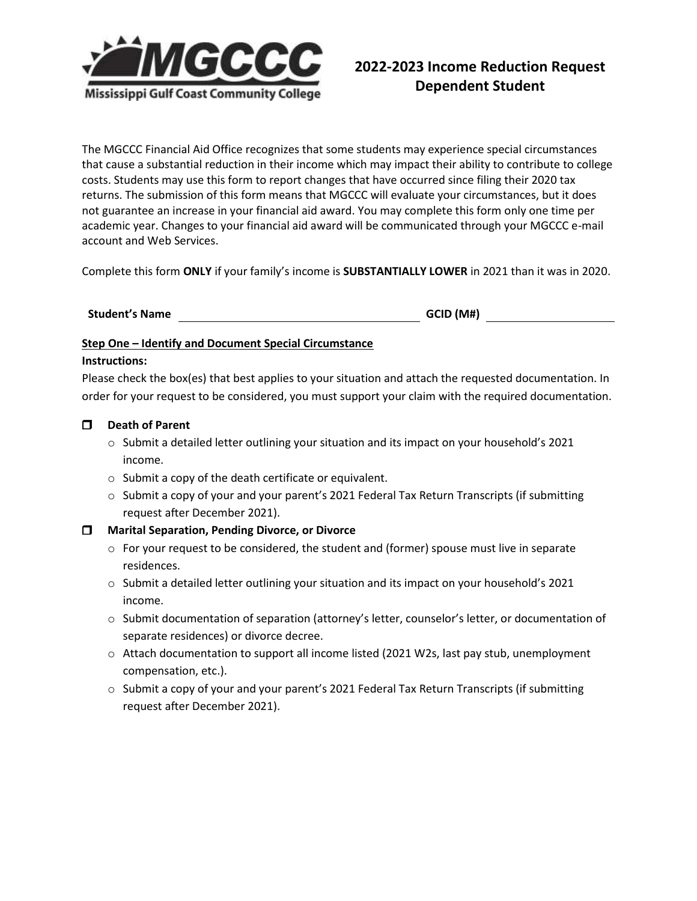

The MGCCC Financial Aid Office recognizes that some students may experience special circumstances that cause a substantial reduction in their income which may impact their ability to contribute to college costs. Students may use this form to report changes that have occurred since filing their 2020 tax returns. The submission of this form means that MGCCC will evaluate your circumstances, but it does not guarantee an increase in your financial aid award. You may complete this form only one time per academic year. Changes to your financial aid award will be communicated through your MGCCC e-mail account and Web Services.

Complete this form **ONLY** if your family's income is **SUBSTANTIALLY LOWER** in 2021 than it was in 2020.

# **Student's Name GCID (M#)**

### **Step One – Identify and Document Special Circumstance**

#### **Instructions:**

Please check the box(es) that best applies to your situation and attach the requested documentation. In order for your request to be considered, you must support your claim with the required documentation.

### **Death of Parent**

- o Submit a detailed letter outlining your situation and its impact on your household's 2021 income.
- o Submit a copy of the death certificate or equivalent.
- $\circ$  Submit a copy of your and your parent's 2021 Federal Tax Return Transcripts (if submitting request after December 2021).

### **Marital Separation, Pending Divorce, or Divorce**

- $\circ$  For your request to be considered, the student and (former) spouse must live in separate residences.
- o Submit a detailed letter outlining your situation and its impact on your household's 2021 income.
- o Submit documentation of separation (attorney's letter, counselor's letter, or documentation of separate residences) or divorce decree.
- o Attach documentation to support all income listed (2021 W2s, last pay stub, unemployment compensation, etc.).
- o Submit a copy of your and your parent's 2021 Federal Tax Return Transcripts (if submitting request after December 2021).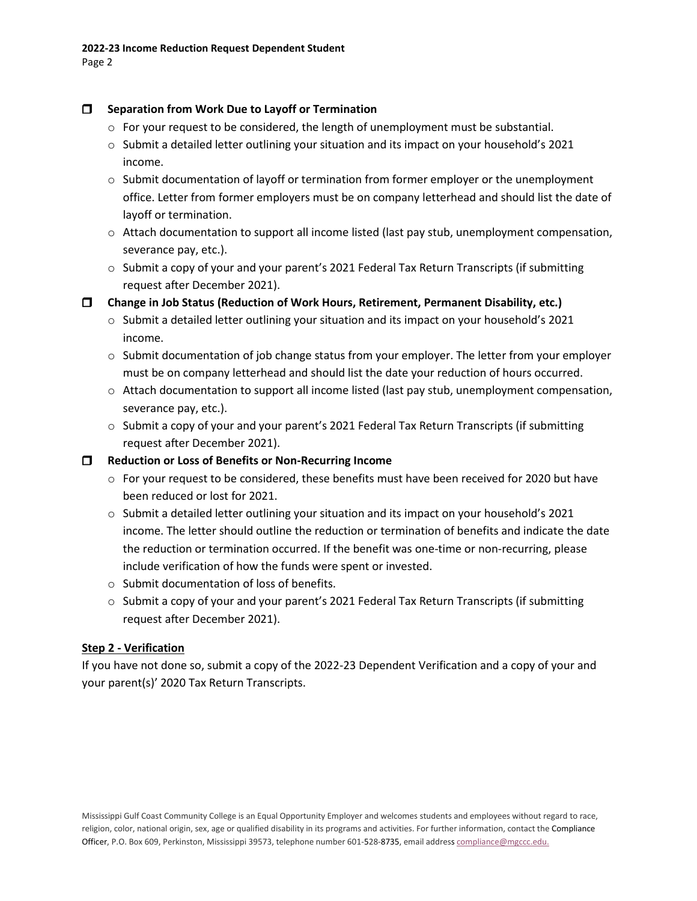## **Separation from Work Due to Layoff or Termination**

- $\circ$  For your request to be considered, the length of unemployment must be substantial.
- $\circ$  Submit a detailed letter outlining your situation and its impact on your household's 2021 income.
- $\circ$  Submit documentation of layoff or termination from former employer or the unemployment office. Letter from former employers must be on company letterhead and should list the date of layoff or termination.
- $\circ$  Attach documentation to support all income listed (last pay stub, unemployment compensation, severance pay, etc.).
- $\circ$  Submit a copy of your and your parent's 2021 Federal Tax Return Transcripts (if submitting request after December 2021).

**Change in Job Status (Reduction of Work Hours, Retirement, Permanent Disability, etc.)**

- $\circ$  Submit a detailed letter outlining your situation and its impact on your household's 2021 income.
- $\circ$  Submit documentation of job change status from your employer. The letter from your employer must be on company letterhead and should list the date your reduction of hours occurred.
- $\circ$  Attach documentation to support all income listed (last pay stub, unemployment compensation, severance pay, etc.).
- o Submit a copy of your and your parent's 2021 Federal Tax Return Transcripts (if submitting request after December 2021).

**Reduction or Loss of Benefits or Non-Recurring Income**

- $\circ$  For your request to be considered, these benefits must have been received for 2020 but have been reduced or lost for 2021.
- o Submit a detailed letter outlining your situation and its impact on your household's 2021 income. The letter should outline the reduction or termination of benefits and indicate the date the reduction or termination occurred. If the benefit was one-time or non-recurring, please include verification of how the funds were spent or invested.
- o Submit documentation of loss of benefits.
- $\circ$  Submit a copy of your and your parent's 2021 Federal Tax Return Transcripts (if submitting request after December 2021).

# **Step 2 - Verification**

If you have not done so, submit a copy of the 2022-23 Dependent Verification and a copy of your and your parent(s)' 2020 Tax Return Transcripts.